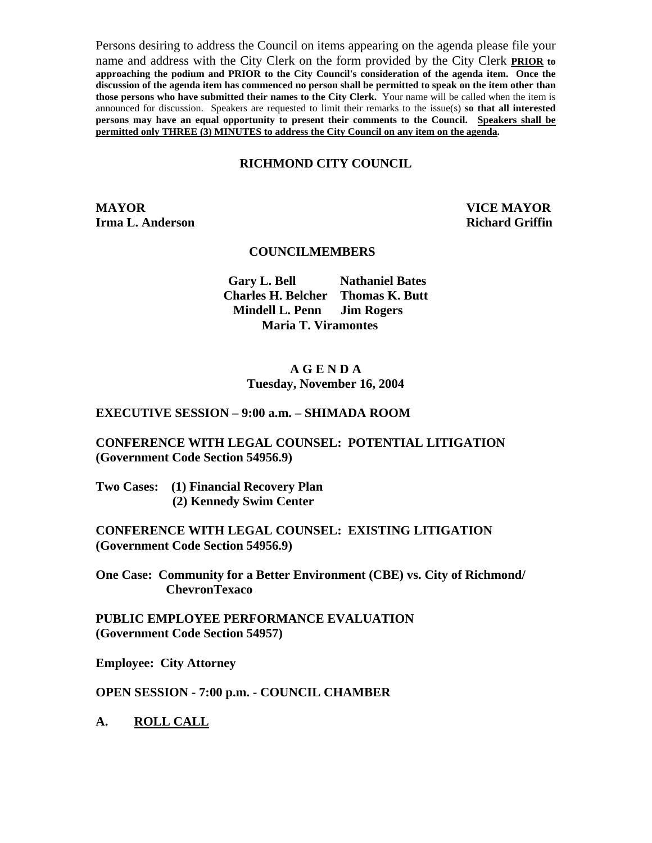Persons desiring to address the Council on items appearing on the agenda please file your name and address with the City Clerk on the form provided by the City Clerk **PRIOR to approaching the podium and PRIOR to the City Council's consideration of the agenda item. Once the discussion of the agenda item has commenced no person shall be permitted to speak on the item other than those persons who have submitted their names to the City Clerk.** Your name will be called when the item is announced for discussion. Speakers are requested to limit their remarks to the issue(s) **so that all interested persons may have an equal opportunity to present their comments to the Council. Speakers shall be permitted only THREE (3) MINUTES to address the City Council on any item on the agenda.**

#### **RICHMOND CITY COUNCIL**

**MAYOR VICE MAYOR Irma L. Anderson Richard Griffin Richard Griffin** 

#### **COUNCILMEMBERS**

 **Gary L. Bell Nathaniel Bates Charles H. Belcher Thomas K. Butt Mindell L. Penn Jim Rogers Maria T. Viramontes** 

#### **A G E N D A Tuesday, November 16, 2004**

#### **EXECUTIVE SESSION – 9:00 a.m. – SHIMADA ROOM**

#### **CONFERENCE WITH LEGAL COUNSEL: POTENTIAL LITIGATION (Government Code Section 54956.9)**

**Two Cases: (1) Financial Recovery Plan (2) Kennedy Swim Center** 

**CONFERENCE WITH LEGAL COUNSEL: EXISTING LITIGATION (Government Code Section 54956.9)** 

**One Case: Community for a Better Environment (CBE) vs. City of Richmond/ ChevronTexaco** 

**PUBLIC EMPLOYEE PERFORMANCE EVALUATION (Government Code Section 54957)** 

**Employee: City Attorney** 

**OPEN SESSION - 7:00 p.m. - COUNCIL CHAMBER** 

**A. ROLL CALL**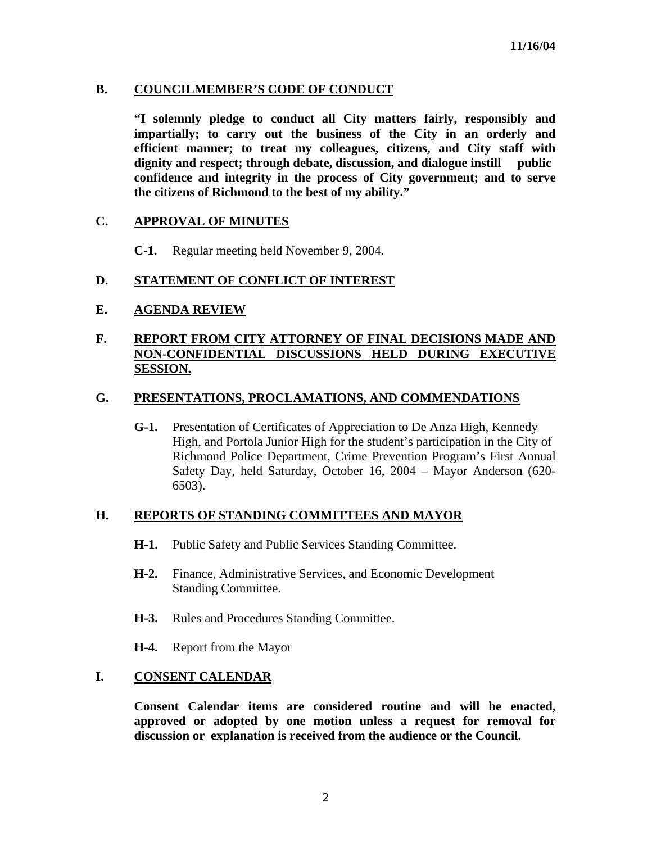### **B. COUNCILMEMBER'S CODE OF CONDUCT**

 **"I solemnly pledge to conduct all City matters fairly, responsibly and impartially; to carry out the business of the City in an orderly and efficient manner; to treat my colleagues, citizens, and City staff with dignity and respect; through debate, discussion, and dialogue instill public confidence and integrity in the process of City government; and to serve the citizens of Richmond to the best of my ability."** 

### **C. APPROVAL OF MINUTES**

**C-1.** Regular meeting held November 9, 2004.

### **D. STATEMENT OF CONFLICT OF INTEREST**

### **E. AGENDA REVIEW**

# **F. REPORT FROM CITY ATTORNEY OF FINAL DECISIONS MADE AND NON-CONFIDENTIAL DISCUSSIONS HELD DURING EXECUTIVE SESSION.**

### **G. PRESENTATIONS, PROCLAMATIONS, AND COMMENDATIONS**

 **G-1.** Presentation of Certificates of Appreciation to De Anza High, Kennedy High, and Portola Junior High for the student's participation in the City of Richmond Police Department, Crime Prevention Program's First Annual Safety Day, held Saturday, October 16, 2004 – Mayor Anderson (620- 6503).

### **H. REPORTS OF STANDING COMMITTEES AND MAYOR**

- **H-1.** Public Safety and Public Services Standing Committee.
- **H-2.** Finance, Administrative Services, and Economic Development Standing Committee.
- **H-3.** Rules and Procedures Standing Committee.
- **H-4.** Report from the Mayor

### **I. CONSENT CALENDAR**

 **Consent Calendar items are considered routine and will be enacted, approved or adopted by one motion unless a request for removal for discussion or explanation is received from the audience or the Council.**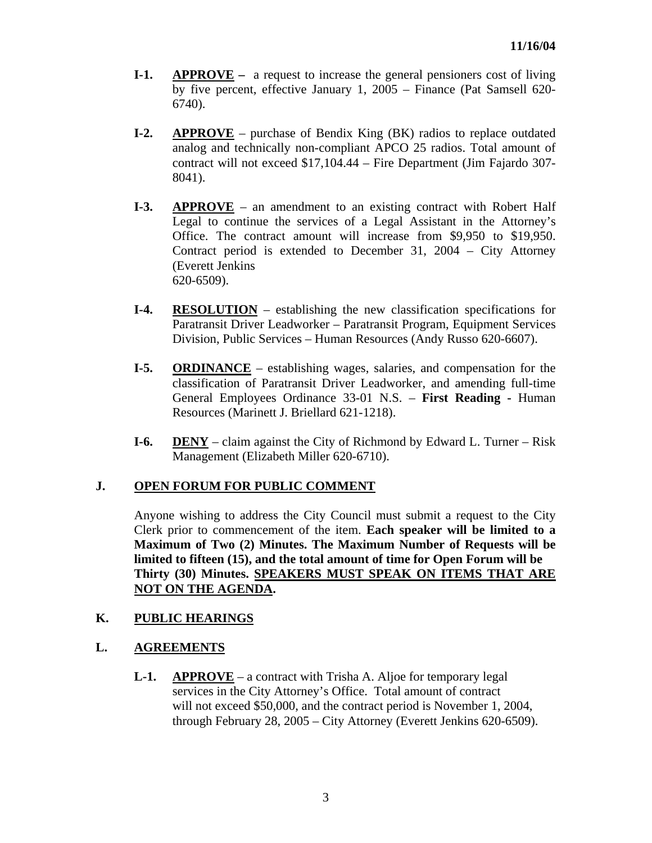- **I-1. APPROVE** a request to increase the general pensioners cost of living by five percent, effective January 1, 2005 – Finance (Pat Samsell 620- 6740).
- **I-2. APPROVE** purchase of Bendix King (BK) radios to replace outdated analog and technically non-compliant APCO 25 radios. Total amount of contract will not exceed \$17,104.44 – Fire Department (Jim Fajardo 307- 8041).
- **I-3. APPROVE** an amendment to an existing contract with Robert Half Legal to continue the services of a Legal Assistant in the Attorney's Office. The contract amount will increase from \$9,950 to \$19,950. Contract period is extended to December 31, 2004 – City Attorney (Everett Jenkins 620-6509).
- **I-4. RESOLUTION** establishing the new classification specifications for Paratransit Driver Leadworker – Paratransit Program, Equipment Services Division, Public Services – Human Resources (Andy Russo 620-6607).
- **I-5. ORDINANCE** establishing wages, salaries, and compensation for the classification of Paratransit Driver Leadworker, and amending full-time General Employees Ordinance 33-01 N.S. – **First Reading -** Human Resources (Marinett J. Briellard 621-1218).
- **I-6. DENY** claim against the City of Richmond by Edward L. Turner Risk Management (Elizabeth Miller 620-6710).

# **J. OPEN FORUM FOR PUBLIC COMMENT**

Anyone wishing to address the City Council must submit a request to the City Clerk prior to commencement of the item. **Each speaker will be limited to a Maximum of Two (2) Minutes. The Maximum Number of Requests will be limited to fifteen (15), and the total amount of time for Open Forum will be Thirty (30) Minutes. SPEAKERS MUST SPEAK ON ITEMS THAT ARE NOT ON THE AGENDA.** 

### **K. PUBLIC HEARINGS**

### **L. AGREEMENTS**

 **L-1. APPROVE** – a contract with Trisha A. Aljoe for temporary legal services in the City Attorney's Office. Total amount of contract will not exceed \$50,000, and the contract period is November 1, 2004, through February 28, 2005 – City Attorney (Everett Jenkins 620-6509).